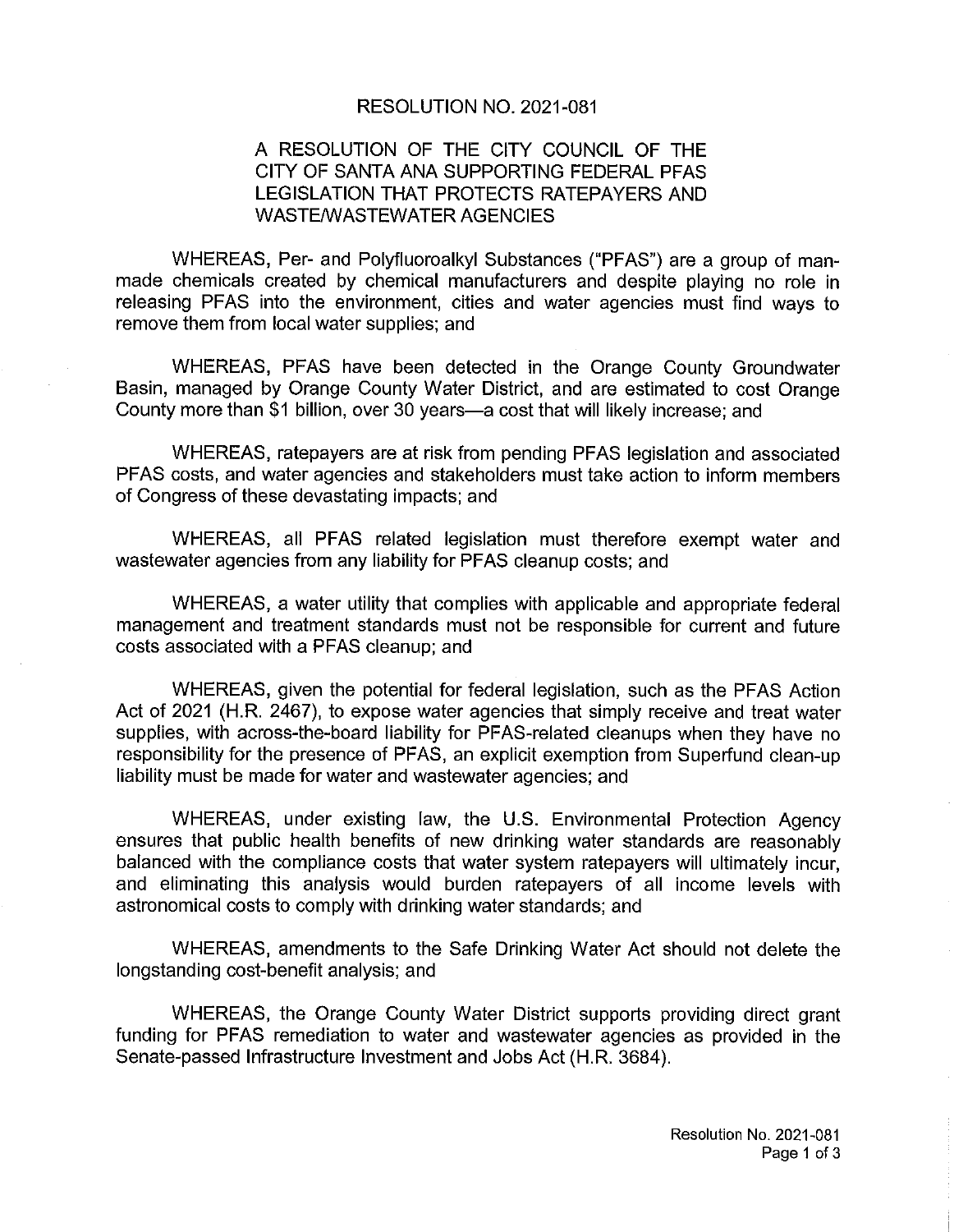#### RESOLUTION NO. 2021-081

## A RESOLUTION OF THE CITY COUNCIL OF THE CITY OF SANTA ANA SUPPORTING FEDERAL PFAS LEGISLATION THAT PROTECTS RATEPAYERS AND WASTE/WASTEWATER AGENCIES

WHEREAS, Per- and Polyfluoroalkyl Substances ("PFAS") are a group of manmade chemicals created by chemical manufacturers and despite playing no role in releasing PFAS into the environment, cities and water agencies must find ways to remove them from local water supplies; and

WHEREAS, PFAS have been detected in the Orange County Groundwater Basin, managed by Orange County Water District, and are estimated to cost Orange County more than \$1 billion, over 30 years—a cost that will likely increase; and

WHEREAS, ratepayers are at risk from pending PFAS legislation and associated PFAS costs, and water agencies and stakeholders must take action to inform members of Congress of these devastating impacts; and

WHEREAS, all PFAS related legislation must therefore exempt water and wastewater agencies from any liability for PFAS cleanup costs; and

WHEREAS, a water utility that complies with applicable and appropriate federal management and treatment standards must not be responsible for current and future costs associated with a PFAS cleanup; and

WHEREAS, given the potential for federal legislation, such as the PFAS Action Act of 2021 (H.R. 2467), to expose water agencies that simply receive and treat water supplies, with across-the-board liability for PFAS-related cleanups when they have no responsibility for the presence of PFAS, an explicit exemption from Superfund clean-up liability must be made for water and wastewater agencies; and

WHEREAS, under existing law, the U.S. Environmental Protection Agency ensures that public health benefits of new drinking water standards are reasonably balanced with the compliance costs that water system ratepayers will ultimately incur, and eliminating this analysis would burden ratepayers of all income levels with astronomical costs to comply with drinking water standards; and

WHEREAS, amendments to the Safe Drinking Water Act should not delete the longstanding cost-benefit analysis; and

WHEREAS, the Orange County Water District supports providing direct grant funding for PFAS remediation to water and wastewater agencies as provided in the Senate-passed Infrastructure Investment and Jobs Act (H.R. 3684).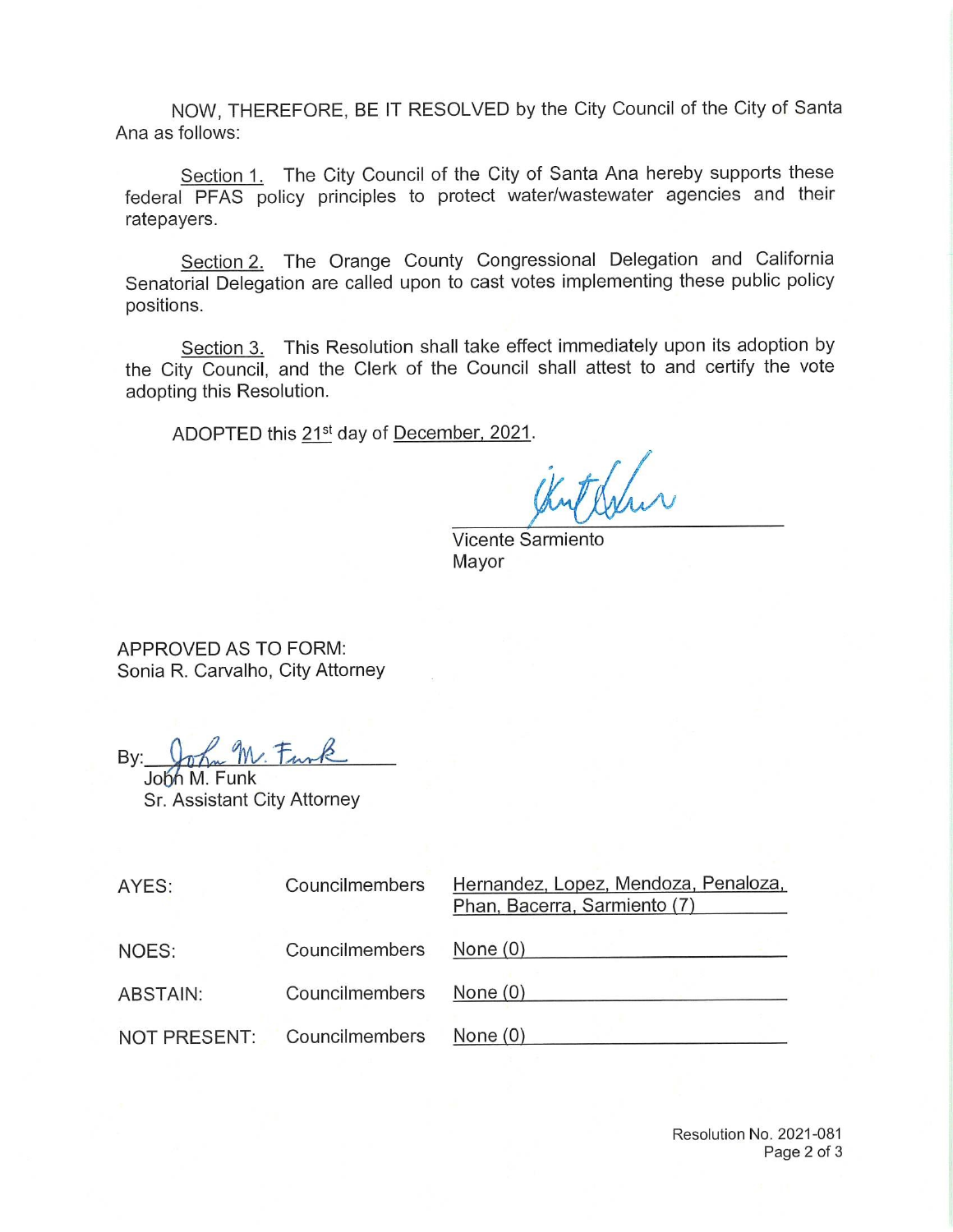NOW, THEREFORE, BE IT RESOLVED by the City Council of the City of Santa Ana as follows:

Section 1. The City Council of the City of Santa Ana hereby supports these federal PFAS policy principles to protect water/wastewater agencies and their ratepayers.

Section 2. The Orange County Congressional Delegation and California Senatorial Delegation are called upon to cast votes implementing these public policy positions.

Section 3. This Resolution shall take effect immediately upon its adoption by the City Council, and the Clerk of the Council shall attest to and certify the vote adopting this Resolution.

ADOPTED this 21<sup>st</sup> day of December, 2021.

Kuthalan

Vicente Sarmiento Mayor

APPROVED AS TO FORM: Sonia R. Carvalho, City Attorney

 $By: \n *John* M.$ 

Sr. Assistant City Attorney

| AYES:           | Councilmembers | Hernandez, Lopez, Mendoza, Penaloza,<br>Phan, Bacerra, Sarmiento (7) |
|-----------------|----------------|----------------------------------------------------------------------|
| NOES:           | Councilmembers | None $(0)$                                                           |
| <b>ABSTAIN:</b> | Councilmembers | None $(0)$                                                           |
| NOT PRESENT:    | Councilmembers | None $(0)$                                                           |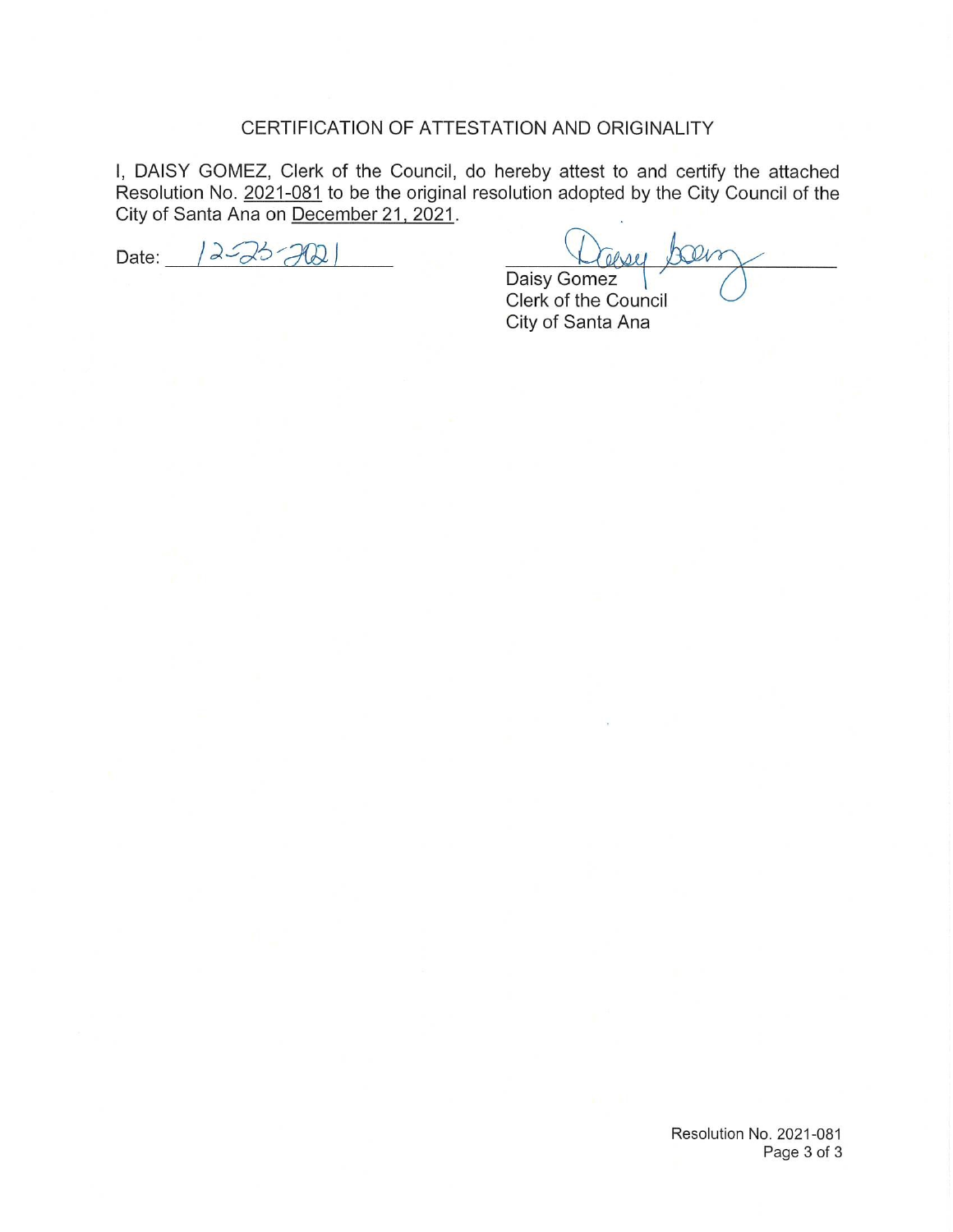### CERTIFICATION OF ATTESTATION AND ORIGINALITY

I, DAISY GOMEZ, Clerk of the Council, do hereby attest to and certify the attached Resolution No. <u>2021-081</u> to be the original resolution adopted by the City Council of the City of Santa Ana on December 21, 2021.

Date:  $|2-26-702|$ 

asser Dalva Daisy Gomez

Clerk of the Council City of Santa Ana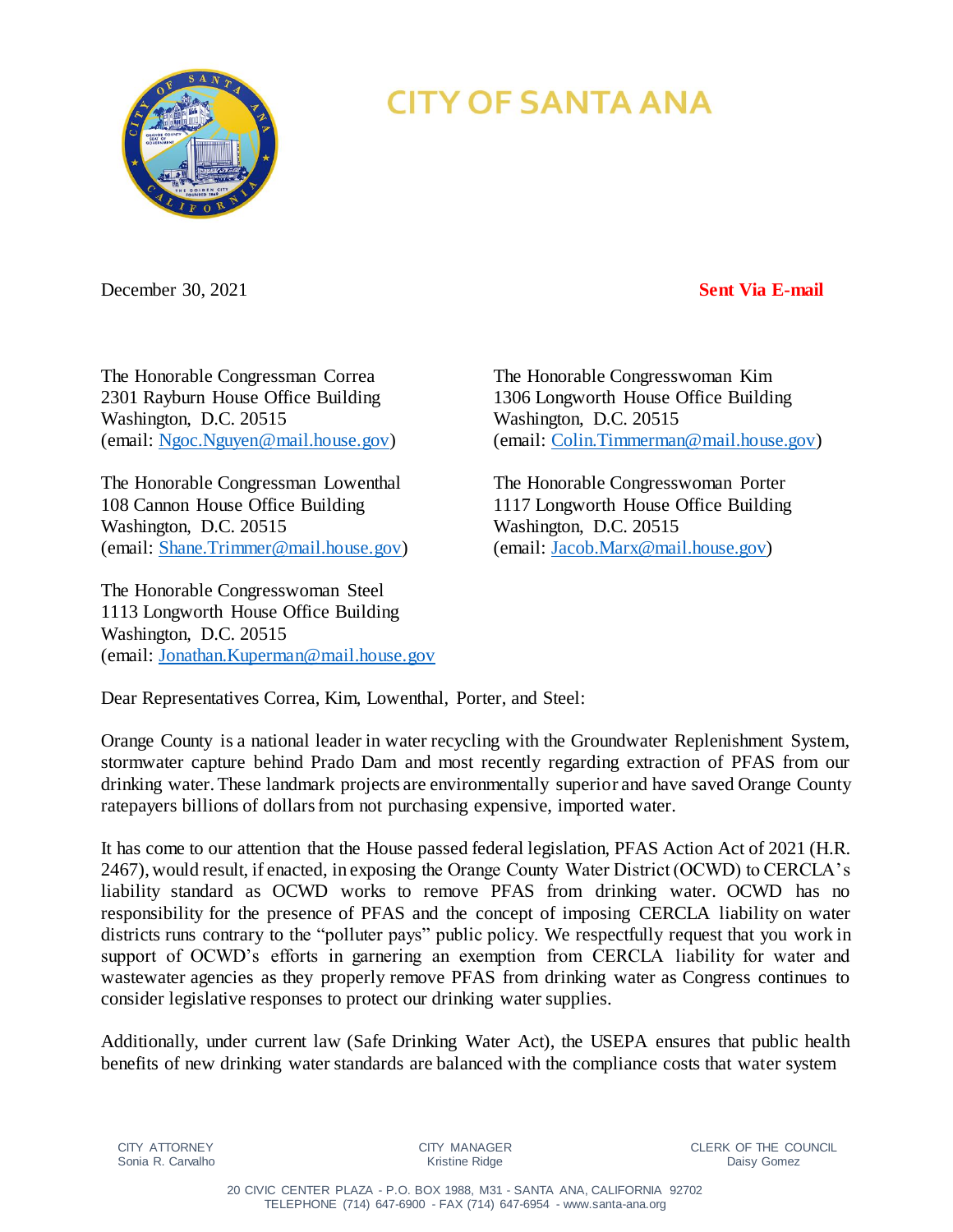

# **CITY OF SANTA ANA**

December 30, 2021 **Sent Via E-mail**

The Honorable Congressman Correa The Honorable Congresswoman Kim Washington, D.C. 20515 Washington, D.C. 20515

The Honorable Congressman Lowenthal The Honorable Congresswoman Porter 108 Cannon House Office Building 1117 Longworth House Office Building Washington, D.C. 20515 Washington, D.C. 20515 (email: [Shane.Trimmer@mail.house.gov\)](mailto:Shane.Trimmer@mail.house.gov) (email: [Jacob.Marx@mail.house.gov\)](mailto:Jacob.Marx@mail.house.gov)

The Honorable Congresswoman Steel 1113 Longworth House Office Building Washington, D.C. 20515 (email: [Jonathan.Kuperman@mail.house.gov](mailto:Jonathan.Kuperman@mail.house.gov)

2301 Rayburn House Office Building 1306 Longworth House Office Building (email: [Ngoc.Nguyen@mail.house.gov\)](mailto:Ngoc.Nguyen@mail.house.gov) (email: [Colin.Timmerman@mail.house.gov\)](mailto:Colin.Timmerman@mail.house.gov)

Dear Representatives Correa, Kim, Lowenthal, Porter, and Steel:

Orange County is a national leader in water recycling with the Groundwater Replenishment System, stormwater capture behind Prado Dam and most recently regarding extraction of PFAS from our drinking water. These landmark projects are environmentally superior and have saved Orange County ratepayers billions of dollars from not purchasing expensive, imported water.

It has come to our attention that the House passed federal legislation, PFAS Action Act of 2021 (H.R. 2467), would result, if enacted, in exposing the Orange County Water District (OCWD) to CERCLA's liability standard as OCWD works to remove PFAS from drinking water. OCWD has no responsibility for the presence of PFAS and the concept of imposing CERCLA liability on water districts runs contrary to the "polluter pays" public policy. We respectfully request that you work in support of OCWD's efforts in garnering an exemption from CERCLA liability for water and wastewater agencies as they properly remove PFAS from drinking water as Congress continues to consider legislative responses to protect our drinking water supplies.

Additionally, under current law (Safe Drinking Water Act), the USEPA ensures that public health benefits of new drinking water standards are balanced with the compliance costs that water system

CITY MANAGER Kristine Ridge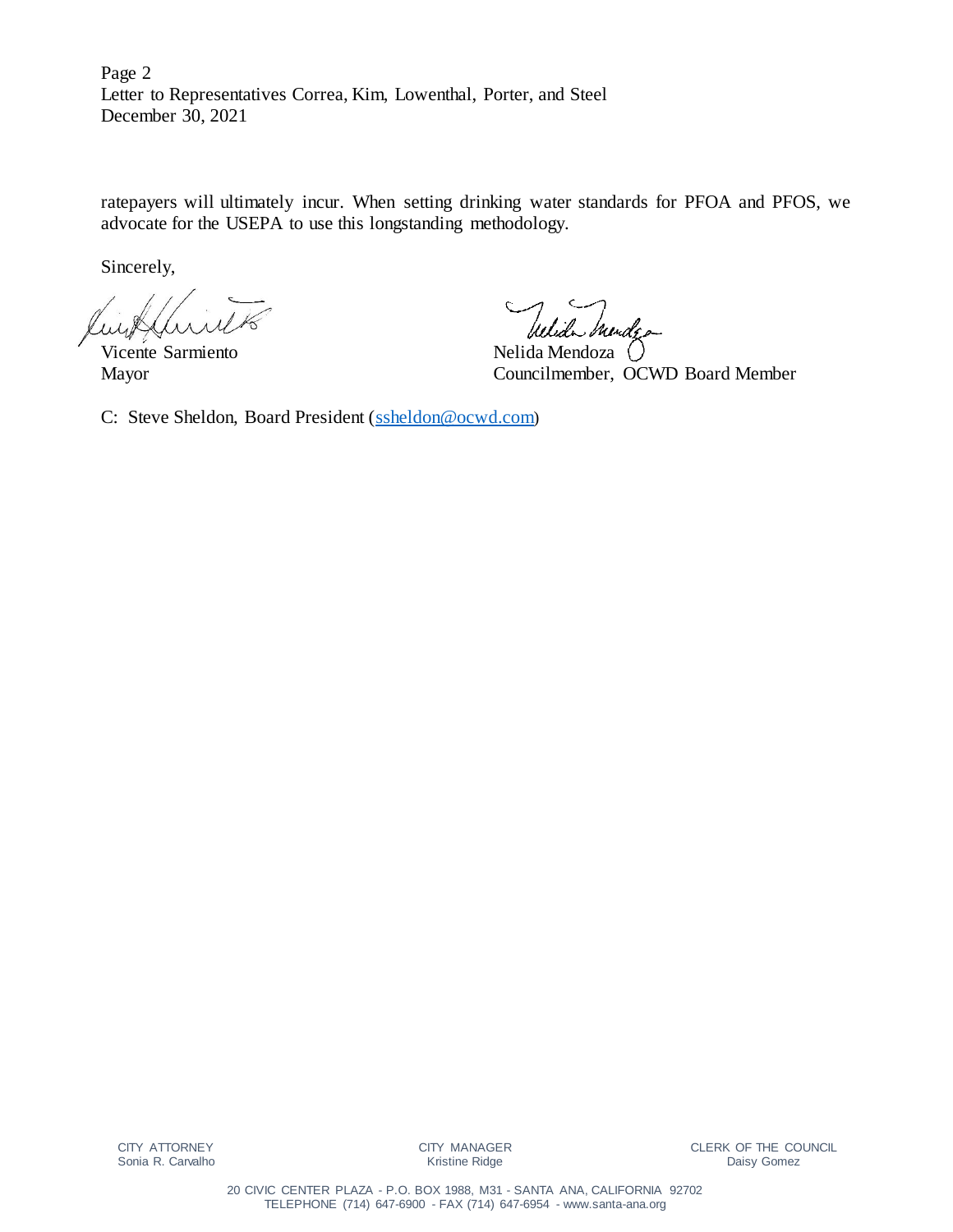Page 2 Letter to Representatives Correa, Kim, Lowenthal, Porter, and Steel December 30, 2021

ratepayers will ultimately incur. When setting drinking water standards for PFOA and PFOS, we advocate for the USEPA to use this longstanding methodology.

Sincerely,

Vicente Sarmiento Nelida Mendoza ()

Wida

Mayor Councilmember, OCWD Board Member

C: Steve Sheldon, Board President [\(ssheldon@ocwd.com](mailto:ssheldon@ocwd.com))

CITY MANAGER Kristine Ridge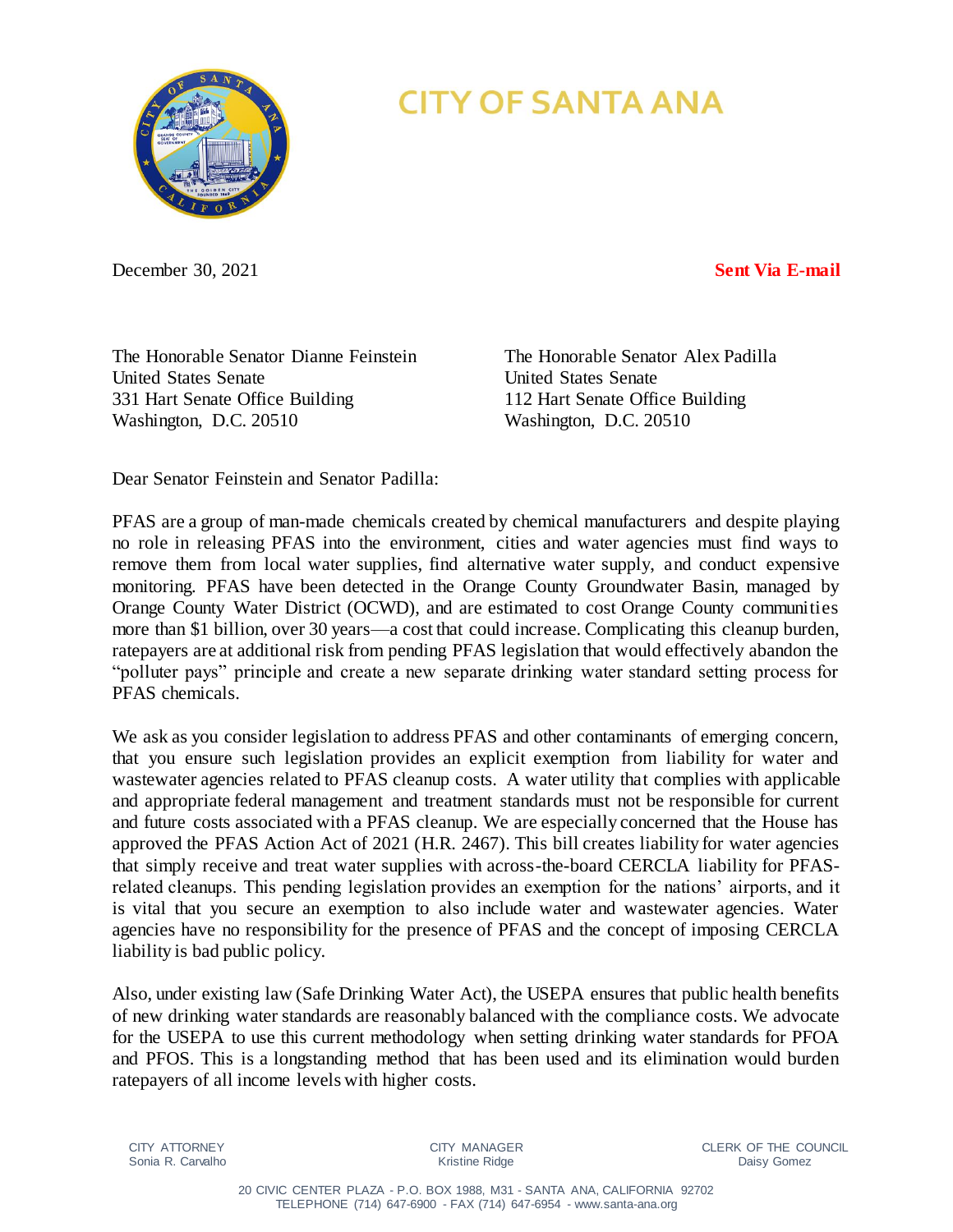

# **CITY OF SANTA ANA**

December 30, 2021 **Sent Via E-mail**

The Honorable Senator Dianne Feinstein The Honorable Senator Alex Padilla United States Senate United States Senate 331 Hart Senate Office Building 112 Hart Senate Office Building Washington, D.C. 20510 Washington, D.C. 20510

Dear Senator Feinstein and Senator Padilla:

PFAS are a group of man-made chemicals created by chemical manufacturers and despite playing no role in releasing PFAS into the environment, cities and water agencies must find ways to remove them from local water supplies, find alternative water supply, and conduct expensive monitoring. PFAS have been detected in the Orange County Groundwater Basin, managed by Orange County Water District (OCWD), and are estimated to cost Orange County communities more than \$1 billion, over 30 years—a cost that could increase. Complicating this cleanup burden, ratepayers are at additional risk from pending PFAS legislation that would effectively abandon the "polluter pays" principle and create a new separate drinking water standard setting process for PFAS chemicals.

We ask as you consider legislation to address PFAS and other contaminants of emerging concern, that you ensure such legislation provides an explicit exemption from liability for water and wastewater agencies related to PFAS cleanup costs. A water utility that complies with applicable and appropriate federal management and treatment standards must not be responsible for current and future costs associated with a PFAS cleanup. We are especially concerned that the House has approved the PFAS Action Act of 2021 (H.R. 2467). This bill creates liability for water agencies that simply receive and treat water supplies with across-the-board CERCLA liability for PFASrelated cleanups. This pending legislation provides an exemption for the nations' airports, and it is vital that you secure an exemption to also include water and wastewater agencies. Water agencies have no responsibility for the presence of PFAS and the concept of imposing CERCLA liability is bad public policy.

Also, under existing law (Safe Drinking Water Act), the USEPA ensures that public health benefits of new drinking water standards are reasonably balanced with the compliance costs. We advocate for the USEPA to use this current methodology when setting drinking water standards for PFOA and PFOS. This is a longstanding method that has been used and its elimination would burden ratepayers of all income levels with higher costs.

CITY ATTORNEY Sonia R. Carvalho CITY MANAGER Kristine Ridge